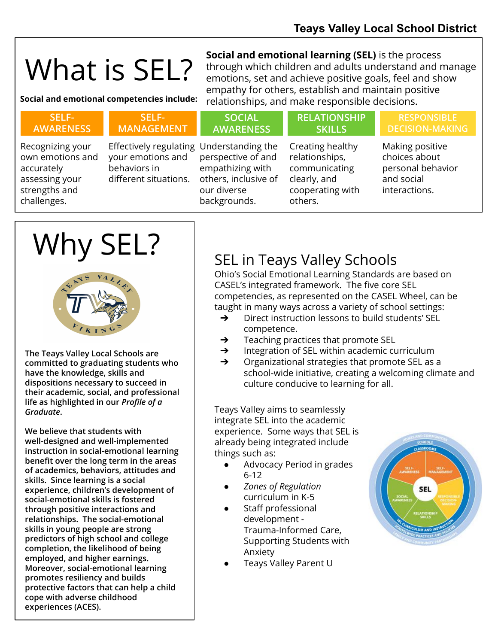# What is SEL?

**Social and emotional learning (SEL)** is the process through which children and adults understand and manage emotions, set and achieve positive goals, feel and show empathy for others, establish and maintain positive Social and emotional competencies include: relationships, and make responsible decisions.

| SELF-<br><b>AWARENESS</b>                                                                            | SELF-<br><b>MANAGEMENT</b>                                                                             | <b>SOCIAL</b><br><b>AWARENESS</b>                                                             | <b>RELATIONSHIP</b><br><b>SKILLS</b>                                                               | <b>RESPONSIBLE</b><br><b>DECISION-MAKING</b>                                         |
|------------------------------------------------------------------------------------------------------|--------------------------------------------------------------------------------------------------------|-----------------------------------------------------------------------------------------------|----------------------------------------------------------------------------------------------------|--------------------------------------------------------------------------------------|
| Recognizing your<br>own emotions and<br>accurately<br>assessing your<br>strengths and<br>challenges. | Effectively regulating Understanding the<br>your emotions and<br>behaviors in<br>different situations. | perspective of and<br>empathizing with<br>others, inclusive of<br>our diverse<br>backgrounds. | Creating healthy<br>relationships,<br>communicating<br>clearly, and<br>cooperating with<br>others. | Making positive<br>choices about<br>personal behavior<br>and social<br>interactions. |
|                                                                                                      |                                                                                                        |                                                                                               |                                                                                                    |                                                                                      |

## Why SEL?



**The Teays Valley Local Schools are committed to graduating students who have the knowledge, skills and dispositions necessary to succeed in their academic, social, and professional life as highlighted in our** *Profile of a Graduate***.**

**We believe that students with well-designed and well-implemented instruction in social-emotional learning benefit over the long term in the areas of academics, behaviors, attitudes and skills. Since learning is a social experience, children's development of social-emotional skills is fostered through positive interactions and relationships. The social-emotional skills in young people are strong predictors of high school and college completion, the likelihood of being employed, and higher earnings. Moreover, social-emotional learning promotes resiliency and builds protective factors that can help a child cope with adverse childhood experiences (ACES).** 

### SEL in Teays Valley Schools

Ohio's Social Emotional Learning Standards are based on CASEL's integrated framework. The five core SEL competencies, as represented on the CASEL Wheel, can be taught in many ways across a variety of school settings:

- ➔ Direct instruction lessons to build students' SEL competence.
- ➔ Teaching practices that promote SEL
- **→** Integration of SEL within academic curriculum
- ➔ Organizational strategies that promote SEL as a school-wide initiative, creating a welcoming climate and culture conducive to learning for all.

Teays Valley aims to seamlessly integrate SEL into the academic experience. Some ways that SEL is already being integrated include things such as:

- Advocacy Period in grades 6-12
- *Zones of Regulation* curriculum in K-5
- Staff professional development - Trauma-Informed Care, Supporting Students with Anxiety
- Teays Valley Parent U